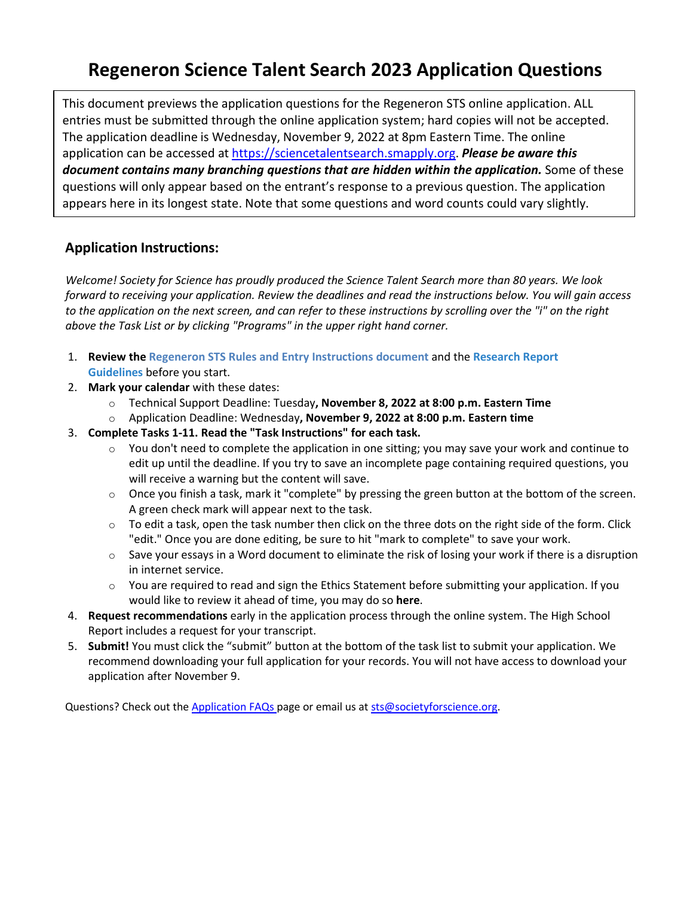# **Regeneron Science Talent Search 2023 Application Questions**

This document previews the application questions for the Regeneron STS online application. ALL entries must be submitted through the online application system; hard copies will not be accepted. The application deadline is Wednesday, November 9, 2022 at 8pm Eastern Time. The online application can be accessed at [https://sciencetalentsearch.smapply.org.](https://sciencetalentsearch.smapply.org/) *Please be aware this document contains many branching questions that are hidden within the application.* Some of these questions will only appear based on the entrant's response to a previous question. The application appears here in its longest state. Note that some questions and word counts could vary slightly.

### **Application Instructions:**

*Welcome! Society for Science has proudly produced the Science Talent Search more than 80 years. We look forward to receiving your application. Review the deadlines and read the instructions below. You will gain access to the application on the next screen, and can refer to these instructions by scrolling over the "i" on the right above the Task List or by clicking "Programs" in the upper right hand corner.*

- 1. **Review the Regeneron STS [Rules and Entry Instructions](https://sciencetalentsearch.smapply.org/protected/r/eyJoZnJlIjogMTAzNTcxNTU3LCAidnEiOiAxODAwMzV9/Regeneron_STS_Official_Rules_2023_1.pdf) document** and the **[Research Report](https://sciencetalentsearch.smapply.org/protected/r/eyJoZnJlIjogMTAzNTcxNTU3LCAidnEiOiAxODAwMjR9/Research_Report_Guidelines.pdf)  [Guidelines](https://sciencetalentsearch.smapply.org/protected/r/eyJoZnJlIjogMTAzNTcxNTU3LCAidnEiOiAxODAwMjR9/Research_Report_Guidelines.pdf)** before you start.
- 2. **Mark your calendar** with these dates:
	- o Technical Support Deadline: Tuesday**, November 8, 2022 at 8:00 p.m. Eastern Time**
	- o Application Deadline: Wednesday**, November 9, 2022 at 8:00 p.m. Eastern time**
- 3. **Complete Tasks 1-11. Read the "Task Instructions" for each task.**
	- $\circ$  You don't need to complete the application in one sitting; you may save your work and continue to edit up until the deadline. If you try to save an incomplete page containing required questions, you will receive a warning but the content will save.
	- $\circ$  Once you finish a task, mark it "complete" by pressing the green button at the bottom of the screen. A green check mark will appear next to the task.
	- $\circ$  To edit a task, open the task number then click on the three dots on the right side of the form. Click "edit." Once you are done editing, be sure to hit "mark to complete" to save your work.
	- $\circ$  Save your essays in a Word document to eliminate the risk of losing your work if there is a disruption in internet service.
	- $\circ$  You are required to read and sign the Ethics Statement before submitting your application. If you would like to review it ahead of time, you may do so **[here](https://sciencetalentsearch.smapply.org/res/p/ethics-statement)**.
- 4. **Request recommendations** early in the application process through the online system. The High School Report includes a request for your transcript.
- 5. **Submit!** You must click the "submit" button at the bottom of the task list to submit your application. We recommend downloading your full application for your records. You will not have access to download your application after November 9.

Questions? Check out th[e Application FAQs p](https://sciencetalentsearch.smapply.org/res/p/faq)age or email us at sts@societyforscience.org.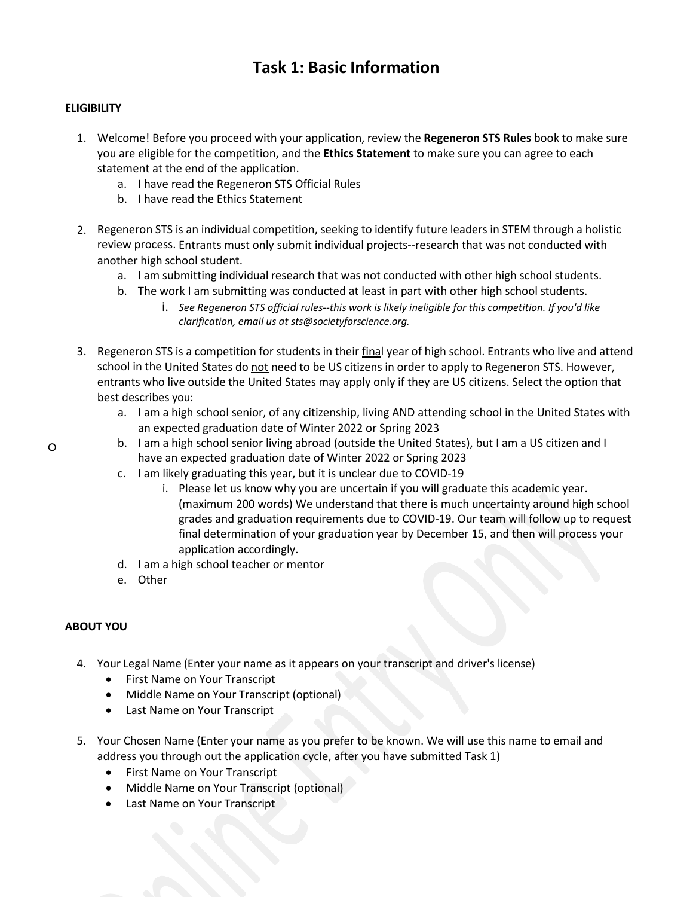### **Task 1: Basic Information**

### **ELIGIBILITY**

- 1. Welcome! Before you proceed with your application, review the **[Regeneron](https://sciencetalentsearch.smapply.org/protected/r/eyJoZnJlIjogMTAzNTcxNTU3LCAidnEiOiAxODAwMzV9/Regeneron_STS_Official_Rules_2023_1.pdf) STS Rules** book to make sure you are eligible for the competition, and the **[Ethics Statement](https://sciencetalentsearch.smapply.org/res/p/ethics-statement/)** to make sure you can agree to each statement at the end of the application.
	- a. I have read the Regeneron STS Official Rules
	- b. I have read the Ethics Statement
- 2. Regeneron STS is an individual competition, seeking to identify future leaders in STEM through a holistic review process. Entrants must only submit individual projects--research that was not conducted with another high school student.
	- a. I am submitting individual research that was not conducted with other high school students.
	- b. The work I am submitting was conducted at least in part with other high school students.
		- i. *See Regeneron STS official rules--this work is likely ineligible for this competition. If you'd like clarification, email us at [sts@societyforscience.org.](mailto:sts@societyforscience.org)*
- 3. Regeneron STS is a competition for students in their final year of high school. Entrants who live and attend school in the United States do not need to be US citizens in order to apply to Regeneron STS. However, entrants who live outside the United States may apply only if they are US citizens. Select the option that best describes you:
	- a. I am a high school senior, of any citizenship, living AND attending school in the United States with an expected graduation date of Winter 2022 or Spring 2023
	- b. I am a high school senior living abroad (outside the United States), but I am a US citizen and I have an expected graduation date of Winter 2022 or Spring 2023
	- c. I am likely graduating this year, but it is unclear due to COVID-19
		- i. Please let us know why you are uncertain if you will graduate this academic year. (maximum 200 words) We understand that there is much uncertainty around high school grades and graduation requirements due to COVID-19. Our team will follow up to request final determination of your graduation year by December 15, and then will process your application accordingly.
	- d. I am a high school teacher or mentor
	- e. Other

### **ABOUT YOU**

○

- 4. Your Legal Name (Enter your name as it appears on your transcript and driver's license)
	- First Name on Your Transcript
	- Middle Name on Your Transcript (optional)
	- Last Name on Your Transcript
- 5. Your Chosen Name (Enter your name as you prefer to be known. We will use this name to email and address you through out the application cycle, after you have submitted Task 1)
	- First Name on Your Transcript
	- Middle Name on Your Transcript (optional)
	- Last Name on Your Transcript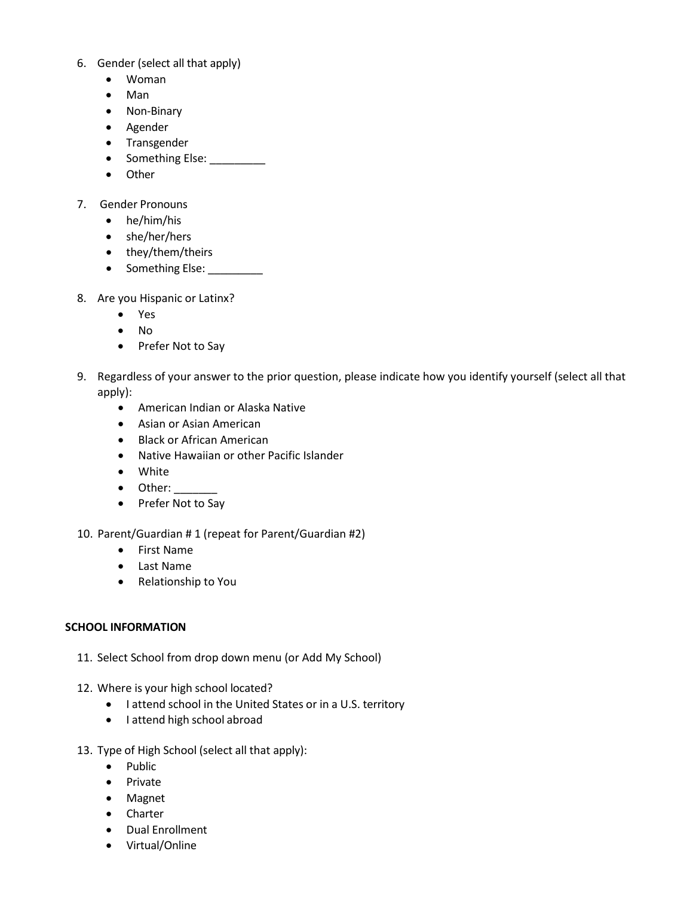- 6. Gender (select all that apply)
	- Woman
	- Man
	- Non-Binary
	- Agender
	- Transgender
	- Something Else: \_\_\_\_\_\_\_\_\_
	- Other
- 7. Gender Pronouns
	- he/him/his
	- she/her/hers
	- they/them/theirs
	- Something Else: \_\_\_\_\_\_\_\_\_\_
- 8. Are you Hispanic or Latinx?
	- Yes
	- No
	- Prefer Not to Say
- 9. Regardless of your answer to the prior question, please indicate how you identify yourself (select all that apply):
	- American Indian or Alaska Native
	- Asian or Asian American
	- Black or African American
	- Native Hawaiian or other Pacific Islander
	- White
	- Other:
	- Prefer Not to Say
- 10. Parent/Guardian # 1 (repeat for Parent/Guardian #2)
	- First Name
	- Last Name
	- Relationship to You

### **SCHOOL INFORMATION**

- 11. Select School from drop down menu (or Add My School)
- 12. Where is your high school located?
	- I attend school in the United States or in a U.S. territory
	- I attend high school abroad
- 13. Type of High School (select all that apply):
	- Public
	- Private
	- Magnet
	- Charter
	- Dual Enrollment
	- Virtual/Online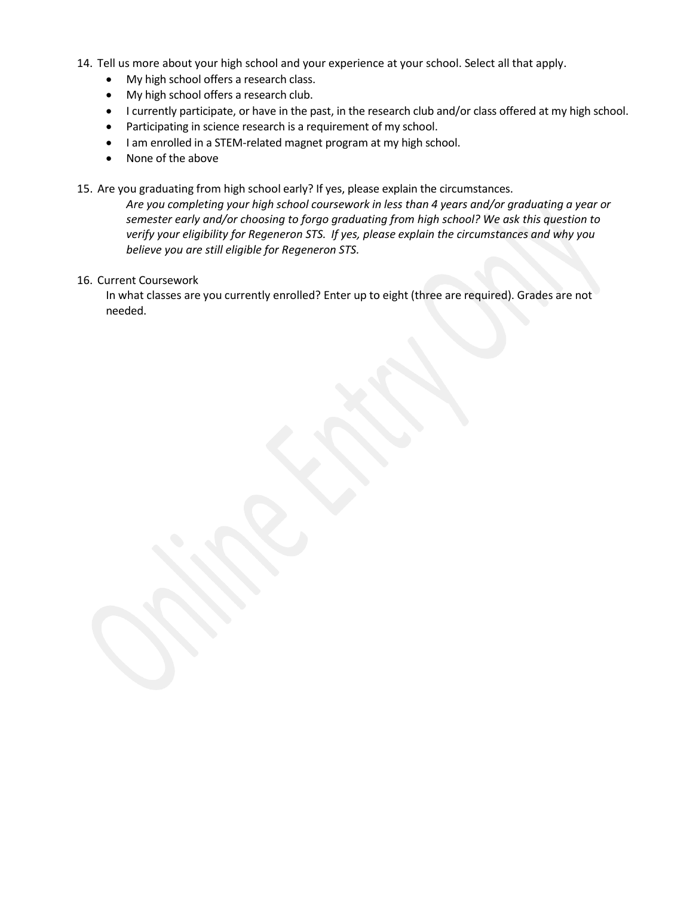- 14. Tell us more about your high school and your experience at your school. Select all that apply.
	- My high school offers a research class.
	- My high school offers a research club.
	- I currently participate, or have in the past, in the research club and/or class offered at my high school.
	- Participating in science research is a requirement of my school.
	- I am enrolled in a STEM-related magnet program at my high school.
	- None of the above

15. Are you graduating from high school early? If yes, please explain the circumstances.

*Are you completing your high school coursework in less than 4 years and/or graduating a year or semester early and/or choosing to forgo graduating from high school? We ask this question to verify your eligibility for Regeneron STS. If yes, please explain the circumstances and why you believe you are still eligible for Regeneron STS.*

16. Current Coursework

In what classes are you currently enrolled? Enter up to eight (three are required). Grades are not needed.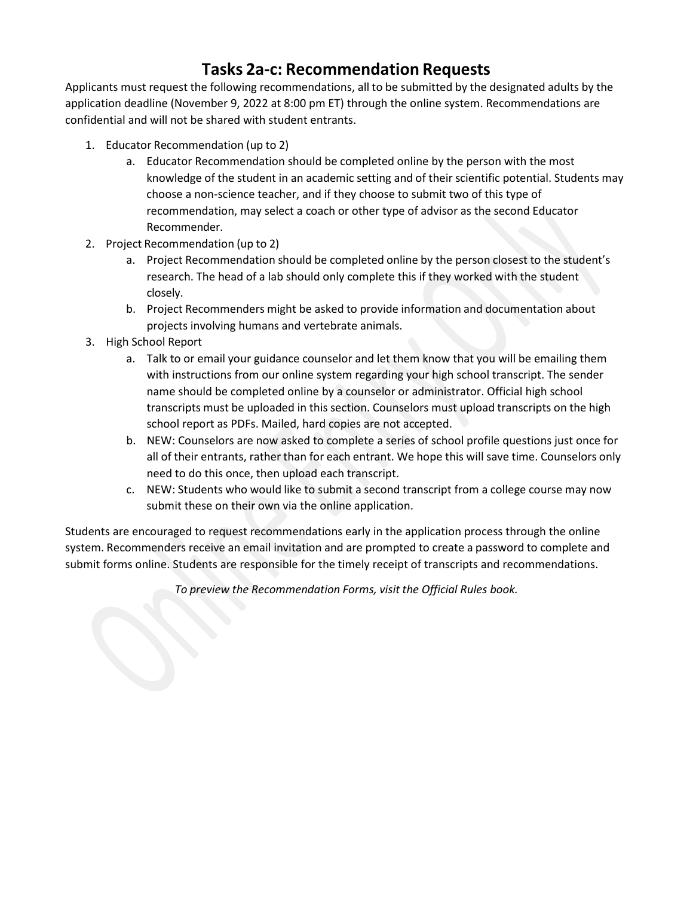### **Tasks 2a-c: Recommendation Requests**

Applicants must request the following recommendations, all to be submitted by the designated adults by the application deadline (November 9, 2022 at 8:00 pm ET) through the online system. Recommendations are confidential and will not be shared with student entrants.

- 1. Educator Recommendation (up to 2)
	- a. Educator Recommendation should be completed online by the person with the most knowledge of the student in an academic setting and of their scientific potential. Students may choose a non-science teacher, and if they choose to submit two of this type of recommendation, may select a coach or other type of advisor as the second Educator Recommender.
- 2. Project Recommendation (up to 2)
	- a. Project Recommendation should be completed online by the person closest to the student's research. The head of a lab should only complete this if they worked with the student closely.
	- b. Project Recommenders might be asked to provide information and documentation about projects involving humans and vertebrate animals.
- 3. High School Report
	- a. Talk to or email your guidance counselor and let them know that you will be emailing them with instructions from our online system regarding your high school transcript. The sender name should be completed online by a counselor or administrator. Official high school transcripts must be uploaded in this section. Counselors must upload transcripts on the high school report as PDFs. Mailed, hard copies are not accepted.
	- b. NEW: Counselors are now asked to complete a series of school profile questions just once for all of their entrants, rather than for each entrant. We hope this will save time. Counselors only need to do this once, then upload each transcript.
	- c. NEW: Students who would like to submit a second transcript from a college course may now submit these on their own via the online application.

Students are encouraged to request recommendations early in the application process through the online system. Recommenders receive an email invitation and are prompted to create a password to complete and submit forms online. Students are responsible for the timely receipt of transcripts and recommendations.

*To preview the Recommendation Forms, visit the Official Rules book.*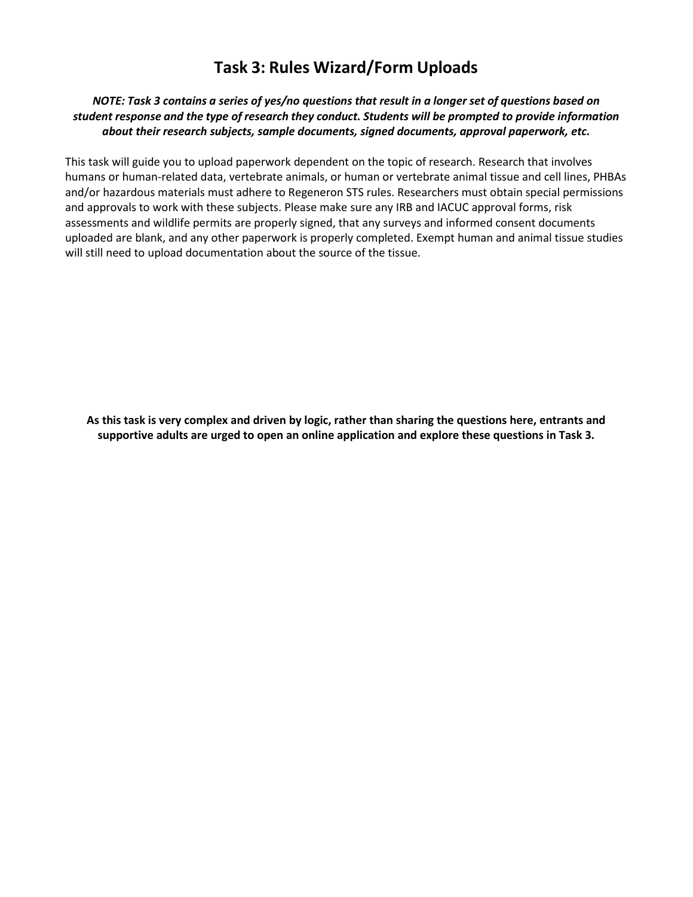### **Task 3: Rules Wizard/Form Uploads**

### *NOTE: Task 3 contains a series of yes/no questions that result in a longer set of questions based on student response and the type of research they conduct. Students will be prompted to provide information about their research subjects, sample documents, signed documents, approval paperwork, etc.*

This task will guide you to upload paperwork dependent on the topic of research. Research that involves humans or human-related data, vertebrate animals, or human or vertebrate animal tissue and cell lines, PHBAs and/or hazardous materials must adhere to Regeneron STS rules. Researchers must obtain special permissions and approvals to work with these subjects. Please make sure any IRB and IACUC approval forms, risk assessments and wildlife permits are properly signed, that any surveys and informed consent documents uploaded are blank, and any other paperwork is properly completed. Exempt human and animal tissue studies will still need to upload documentation about the source of the tissue.

**As this task is very complex and driven by logic, rather than sharing the questions here, entrants and supportive adults are urged to open an online application and explore these questions in Task 3.**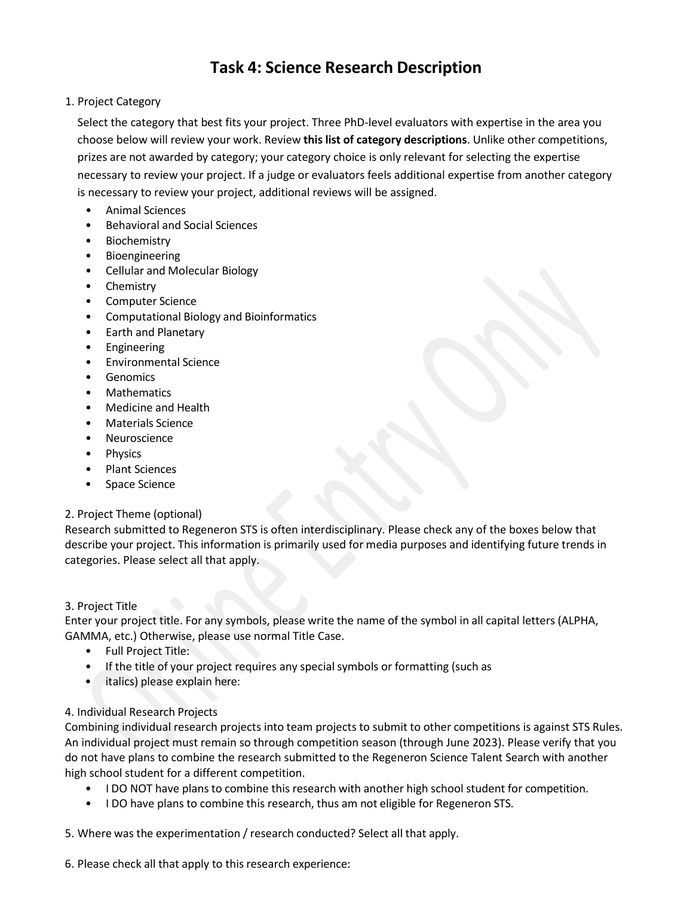### **Task 4: Science Research Description**

1. Project Category

Select the category that best fits your project. Three PhD-level evaluators with expertise in the area you choose below will review your work. Review **this list of category [descriptions](https://sciencetalentsearch.smapply.org/protected/r/eyJoZnJlIjogMTAzNTcxNTU3LCAidnEiOiAxODAwMjJ9/Categories.pdf)**. Unlike other competitions, prizes are not awarded by category; your category choice is only relevant for selecting the expertise necessary to review your project. If a judge or evaluators feels additional expertise from another category is necessary to review your project, additional reviews will be assigned.

- Animal Sciences
- Behavioral and Social Sciences
- Biochemistry
- Bioengineering
- Cellular and Molecular Biology
- Chemistry
- Computer Science
- Computational Biology and Bioinformatics
- Earth and Planetary
- **Engineering**
- Environmental Science
- Genomics
- **Mathematics**
- Medicine and Health
- Materials Science
- Neuroscience
- **Physics**
- Plant Sciences
- Space Science

### 2. Project Theme (optional)

Research submitted to Regeneron STS is often interdisciplinary. Please check any of the boxes below that describe your project. This information is primarily used for media purposes and identifying future trends in categories. Please select all that apply.

### 3. Project Title

Enter your project title. For any symbols, please write the name of the symbol in all capital letters (ALPHA, GAMMA, etc.) Otherwise, please use normal Title Case.

- Full Project Title:
- If the title of your project requires any special symbols or formatting (such as
- italics) please explain here:

### 4. Individual Research Projects

Combining individual research projects into team projects to submit to other competitions is against STS Rules. An individual project must remain so through competition season (through June 2023). Please verify that you do not have plans to combine the research submitted to the Regeneron Science Talent Search with another high school student for a different competition.

- I DO NOT have plans to combine this research with another high school student for competition.
- I DO have plans to combine this research, thus am not eligible for Regeneron STS.

5. Where was the experimentation / research conducted? Select all that apply.

6. Please check all that apply to this research experience: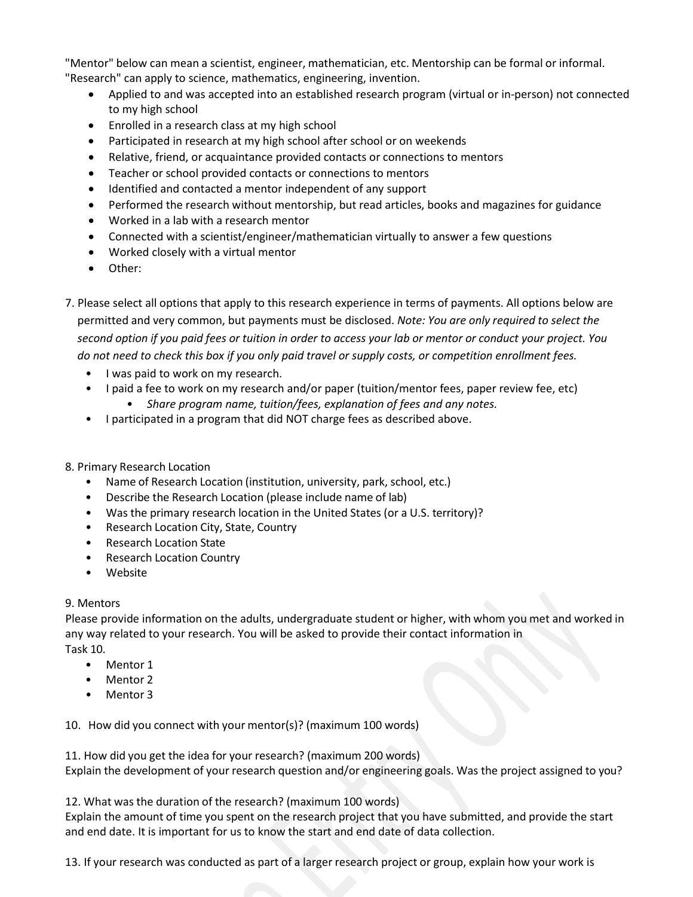"Mentor" below can mean a scientist, engineer, mathematician, etc. Mentorship can be formal or informal. "Research" can apply to science, mathematics, engineering, invention.

- Applied to and was accepted into an established research program (virtual or in-person) not connected to my high school
- Enrolled in a research class at my high school
- Participated in research at my high school after school or on weekends
- Relative, friend, or acquaintance provided contacts or connections to mentors
- Teacher or school provided contacts or connections to mentors
- Identified and contacted a mentor independent of any support
- Performed the research without mentorship, but read articles, books and magazines for guidance
- Worked in a lab with a research mentor
- Connected with a scientist/engineer/mathematician virtually to answer a few questions
- Worked closely with a virtual mentor
- Other:
- 7. Please select all options that apply to this research experience in terms of payments. All options below are permitted and very common, but payments must be disclosed. *Note: You are only required to select the* second option if you paid fees or tuition in order to access your lab or mentor or conduct your project. You *do not need to check this box if you only paid travel or supply costs, or competition enrollment fees.*
	- I was paid to work on my research.
	- I paid a fee to work on my research and/or paper (tuition/mentor fees, paper review fee, etc)
		- *Share program name, tuition/fees, explanation of fees and any notes.*
	- I participated in a program that did NOT charge fees as described above.
- 8. Primary Research Location
	- Name of Research Location (institution, university, park, school, etc.)
	- Describe the Research Location (please include name of lab)
	- Was the primary research location in the United States (or a U.S. territory)?
	- Research Location City, State, Country
	- Research Location State
	- Research Location Country
	- Website

### 9. Mentors

Please provide information on the adults, undergraduate student or higher, with whom you met and worked in any way related to your research. You will be asked to provide their contact information in Task 10.

- Mentor 1
- Mentor 2
- Mentor 3

10. How did you connect with your mentor(s)? (maximum 100 words)

11. How did you get the idea for your research? (maximum 200 words)

Explain the development of your research question and/or engineering goals. Was the project assigned to you?

12. What was the duration of the research? (maximum 100 words)

Explain the amount of time you spent on the research project that you have submitted, and provide the start and end date. It is important for us to know the start and end date of data collection.

13. If your research was conducted as part of a larger research project or group, explain how your work is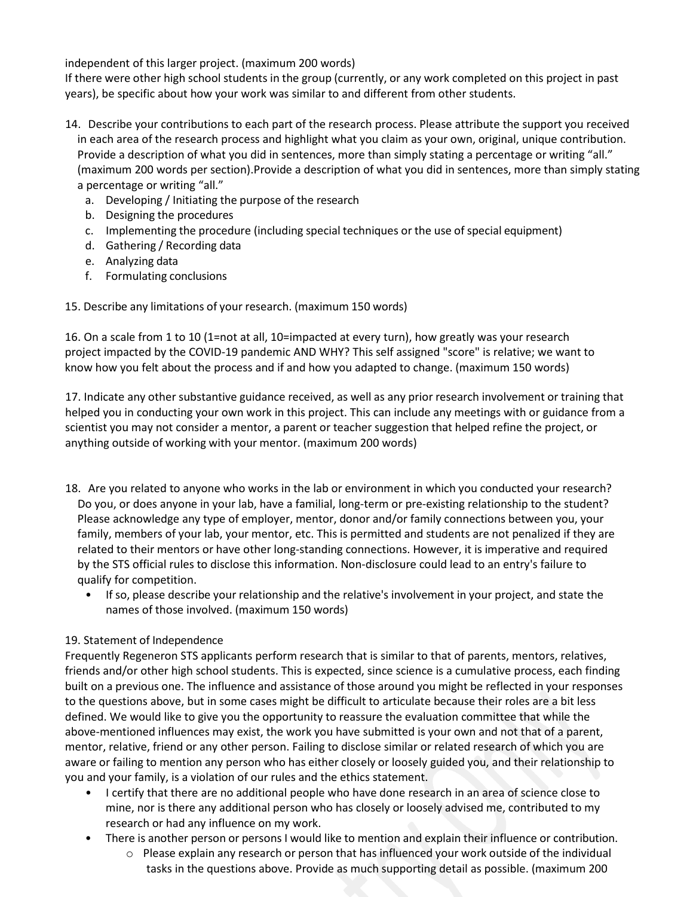independent of this larger project. (maximum 200 words)

If there were other high school students in the group (currently, or any work completed on this project in past years), be specific about how your work was similar to and different from other students.

- 14. Describe your contributions to each part of the research process. Please attribute the support you received in each area of the research process and highlight what you claim as your own, original, unique contribution. Provide a description of what you did in sentences, more than simply stating a percentage or writing "all." (maximum 200 words per section).Provide a description of what you did in sentences, more than simply stating a percentage or writing "all."
	- a. Developing / Initiating the purpose of the research
	- b. Designing the procedures
	- c. Implementing the procedure (including special techniques or the use of special equipment)
	- d. Gathering / Recording data
	- e. Analyzing data
	- f. Formulating conclusions

15. Describe any limitations of your research. (maximum 150 words)

16. On a scale from 1 to 10 (1=not at all, 10=impacted at every turn), how greatly was your research project impacted by the COVID-19 pandemic AND WHY? This self assigned "score" is relative; we want to know how you felt about the process and if and how you adapted to change. (maximum 150 words)

17. Indicate any other substantive guidance received, as well as any prior research involvement or training that helped you in conducting your own work in this project. This can include any meetings with or guidance from a scientist you may not consider a mentor, a parent or teacher suggestion that helped refine the project, or anything outside of working with your mentor. (maximum 200 words)

- 18. Are you related to anyone who works in the lab or environment in which you conducted your research? Do you, or does anyone in your lab, have a familial, long-term or pre-existing relationship to the student? Please acknowledge any type of employer, mentor, donor and/or family connections between you, your family, members of your lab, your mentor, etc. This is permitted and students are not penalized if they are related to their mentors or have other long-standing connections. However, it is imperative and required by the STS official rules to disclose this information. Non-disclosure could lead to an entry's failure to qualify for competition.
	- If so, please describe your relationship and the relative's involvement in your project, and state the names of those involved. (maximum 150 words)

### 19. Statement of Independence

Frequently Regeneron STS applicants perform research that is similar to that of parents, mentors, relatives, friends and/or other high school students. This is expected, since science is a cumulative process, each finding built on a previous one. The influence and assistance of those around you might be reflected in your responses to the questions above, but in some cases might be difficult to articulate because their roles are a bit less defined. We would like to give you the opportunity to reassure the evaluation committee that while the above-mentioned influences may exist, the work you have submitted is your own and not that of a parent, mentor, relative, friend or any other person. Failing to disclose similar or related research of which you are aware or failing to mention any person who has either closely or loosely guided you, and their relationship to you and your family, is a violation of our rules and the ethics statement.

- I certify that there are no additional people who have done research in an area of science close to mine, nor is there any additional person who has closely or loosely advised me, contributed to my research or had any influence on my work.
- There is another person or persons I would like to mention and explain their influence or contribution.
	- o Please explain any research or person that has influenced your work outside of the individual tasks in the questions above. Provide as much supporting detail as possible. (maximum 200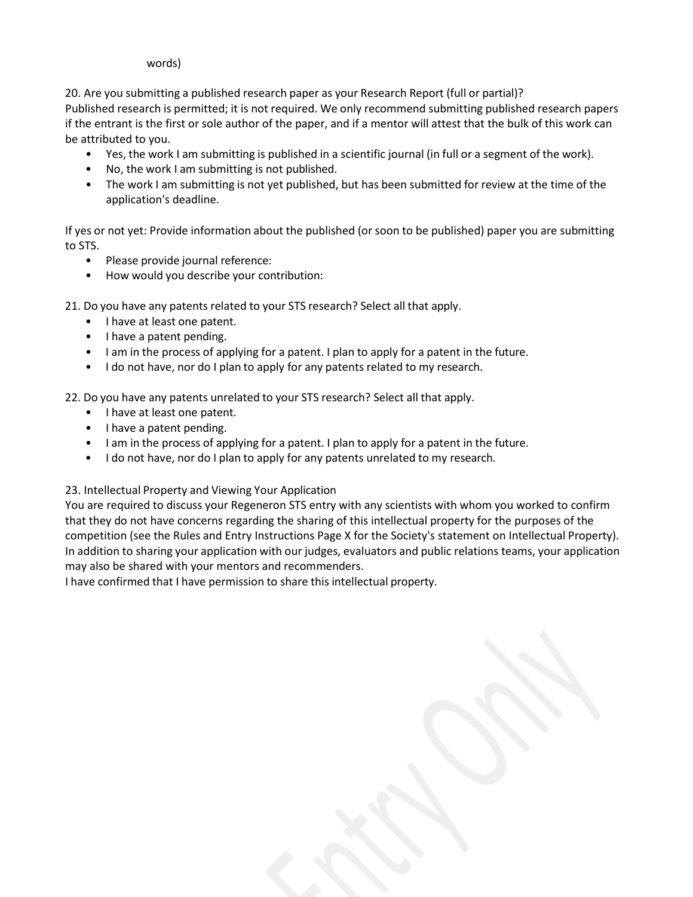#### words)

20. Are you submitting a published research paper as your Research Report (full or partial)?

Published research is permitted; it is not required. We only recommend submitting published research papers if the entrant is the first or sole author of the paper, and if a mentor will attest that the bulk of this work can be attributed to you.

- Yes, the work I am submitting is published in a scientific journal (in full or a segment of the work).
- No, the work I am submitting is not published.
- The work I am submitting is not yet published, but has been submitted for review at the time of the application's deadline.

If yes or not yet: Provide information about the published (or soon to be published) paper you are submitting to STS.

- Please provide journal reference:
- How would you describe your contribution:

21. Do you have any patents related to your STS research? Select all that apply.

- I have at least one patent.
- I have a patent pending.
- I am in the process of applying for a patent. I plan to apply for a patent in the future.
- I do not have, nor do I plan to apply for any patents related to my research.

22. Do you have any patents unrelated to your STS research? Select all that apply.

- I have at least one patent.
- I have a patent pending.
- I am in the process of applying for a patent. I plan to apply for a patent in the future.
- I do not have, nor do I plan to apply for any patents unrelated to my research.

### 23. Intellectual Property and Viewing Your Application

You are required to discuss your Regeneron STS entry with any scientists with whom you worked to confirm that they do not have concerns regarding the sharing of this intellectual property for the purposes of the competition (see the Rules and Entry Instructions Page X for the Society's statement on Intellectual Property). In addition to sharing your application with our judges, evaluators and public relations teams, your application may also be shared with your mentors and recommenders.

I have confirmed that I have permission to share this intellectual property.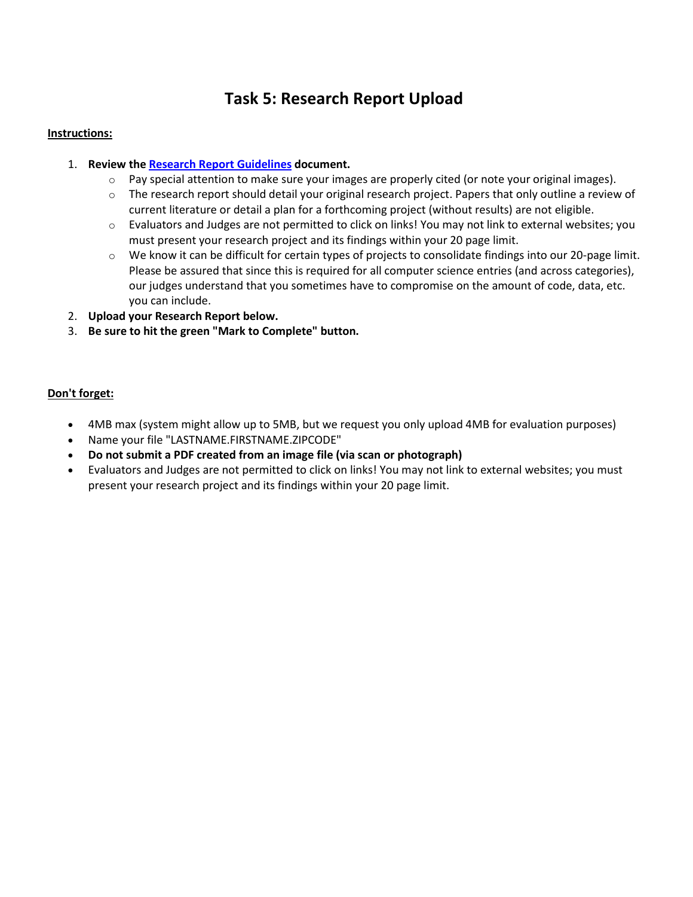## **Task 5: Research Report Upload**

### **Instructions:**

### 1. **Review the [Research Report Guidelines](https://sciencetalentsearch.smapply.org/protected/r/eyJoZnJlIjogMTAzNTcxNTU3LCAidnEiOiAxODAwMjR9/Research_Report_Guidelines.pdf) document.**

- $\circ$  Pay special attention to make sure your images are properly cited (or note your original images).
- $\circ$  The research report should detail your original research project. Papers that only outline a review of current literature or detail a plan for a forthcoming project (without results) are not eligible.
- $\circ$  Evaluators and Judges are not permitted to click on links! You may not link to external websites; you must present your research project and its findings within your 20 page limit.
- $\circ$  We know it can be difficult for certain types of projects to consolidate findings into our 20-page limit. Please be assured that since this is required for all computer science entries (and across categories), our judges understand that you sometimes have to compromise on the amount of code, data, etc. you can include.
- 2. **Upload your Research Report below.**
- 3. **Be sure to hit the green "Mark to Complete" button.**

### **Don't forget:**

- 4MB max (system might allow up to 5MB, but we request you only upload 4MB for evaluation purposes)
- Name your file "LASTNAME.FIRSTNAME.ZIPCODE"
- **Do not submit a PDF created from an image file (via scan or photograph)**
- Evaluators and Judges are not permitted to click on links! You may not link to external websites; you must present your research project and its findings within your 20 page limit.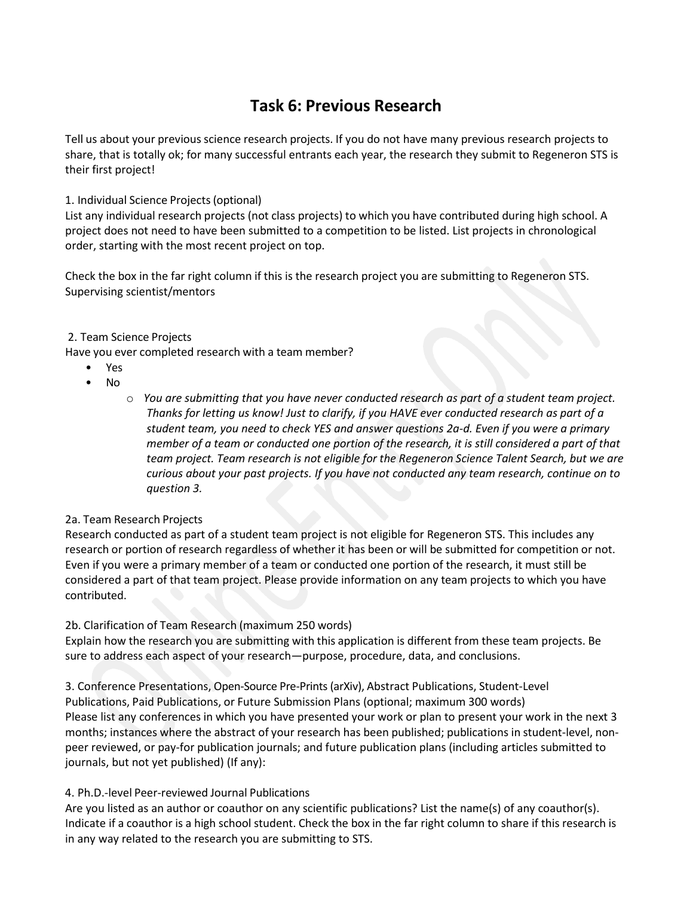### **Task 6: Previous Research**

Tell us about your previous science research projects. If you do not have many previous research projects to share, that is totally ok; for many successful entrants each year, the research they submit to Regeneron STS is their first project!

1. Individual Science Projects(optional)

List any individual research projects (not class projects) to which you have contributed during high school. A project does not need to have been submitted to a competition to be listed. List projects in chronological order, starting with the most recent project on top.

Check the box in the far right column if this is the research project you are submitting to Regeneron STS. Supervising scientist/mentors

### 2. Team Science Projects

Have you ever completed research with a team member?

- Yes
- No
- o *You are submitting that you have never conducted research as part of a student team project. Thanks for letting us know! Just to clarify, if you HAVE ever conducted research as part of a student team, you need to check YES and answer questions 2a-d. Even if you were a primary member of a team or conducted one portion of the research, it is still considered a part of that team project. Team research is not eligible for the Regeneron Science Talent Search, but we are curious about your past projects. If you have not conducted any team research, continue on to question 3.*

### 2a. Team Research Projects

Research conducted as part of a student team project is not eligible for Regeneron STS. This includes any research or portion of research regardless of whether it has been or will be submitted for competition or not. Even if you were a primary member of a team or conducted one portion of the research, it must still be considered a part of that team project. Please provide information on any team projects to which you have contributed.

### 2b. Clarification of Team Research (maximum 250 words)

Explain how the research you are submitting with this application is different from these team projects. Be sure to address each aspect of your research—purpose, procedure, data, and conclusions.

3. Conference Presentations, Open-Source Pre-Prints (arXiv), Abstract Publications, Student-Level Publications, Paid Publications, or Future Submission Plans (optional; maximum 300 words) Please list any conferences in which you have presented your work or plan to present your work in the next 3 months; instances where the abstract of your research has been published; publications in student-level, nonpeer reviewed, or pay-for publication journals; and future publication plans (including articles submitted to journals, but not yet published) (If any):

### 4. Ph.D.-level Peer-reviewed Journal Publications

Are you listed as an author or coauthor on any scientific publications? List the name(s) of any coauthor(s). Indicate if a coauthor is a high school student. Check the box in the far right column to share if this research is in any way related to the research you are submitting to STS.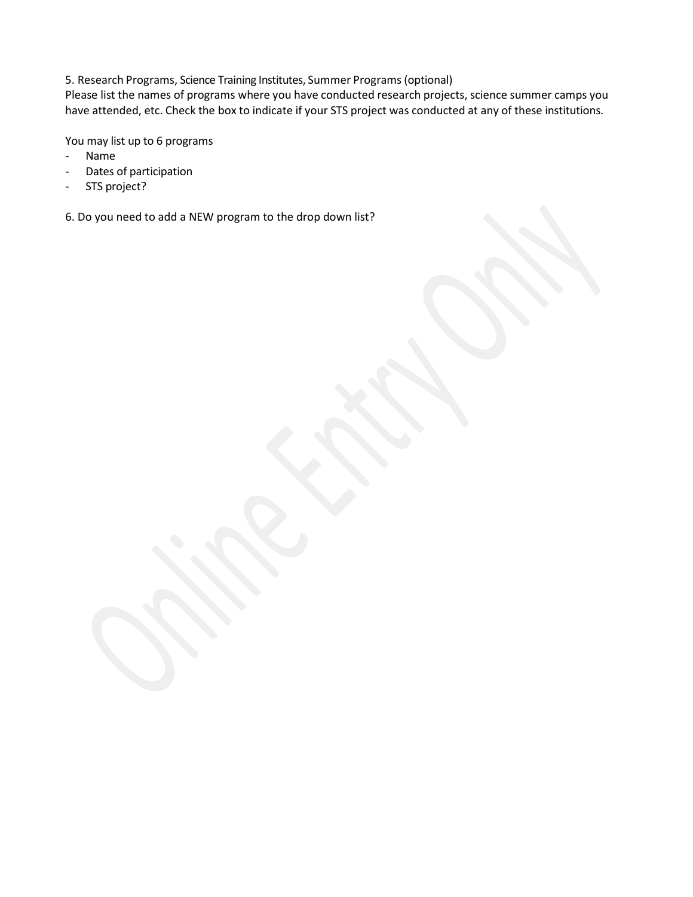5. Research Programs, Science Training Institutes, Summer Programs (optional)

Please list the names of programs where you have conducted research projects, science summer camps you have attended, etc. Check the box to indicate if your STS project was conducted at any of these institutions.

You may list up to 6 programs

- Name
- Dates of participation
- STS project?

6. Do you need to add a NEW program to the drop down list?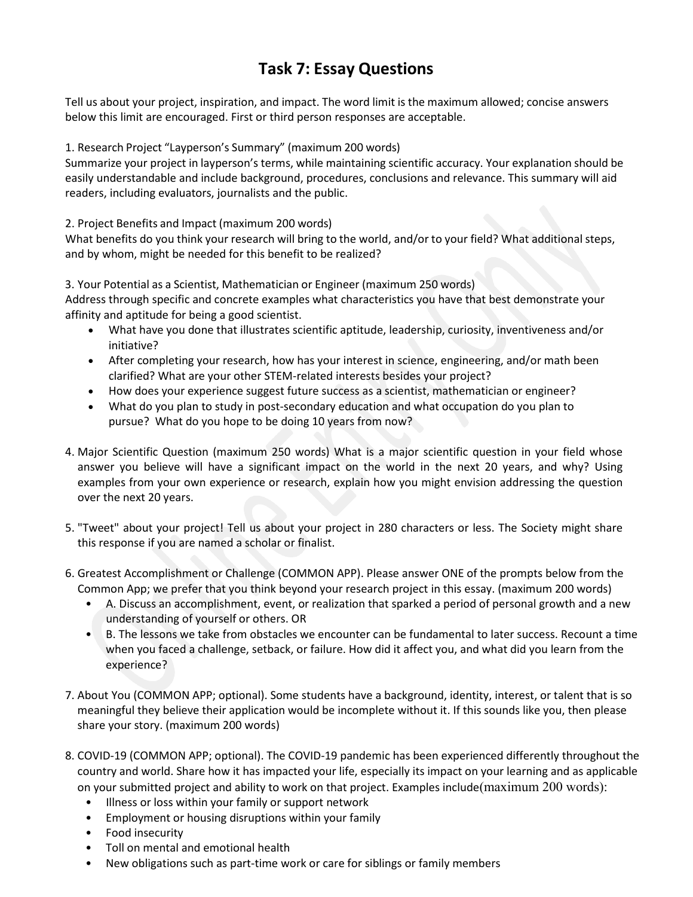### **Task 7: Essay Questions**

Tell us about your project, inspiration, and impact. The word limit is the maximum allowed; concise answers below this limit are encouraged. First or third person responses are acceptable.

1. Research Project "Layperson's Summary" (maximum 200 words)

Summarize your project in layperson's terms, while maintaining scientific accuracy. Your explanation should be easily understandable and include background, procedures, conclusions and relevance. This summary will aid readers, including evaluators, journalists and the public.

2. Project Benefits and Impact (maximum 200 words)

What benefits do you think your research will bring to the world, and/or to your field? What additional steps, and by whom, might be needed for this benefit to be realized?

3. Your Potential as a Scientist, Mathematician or Engineer (maximum 250 words)

Address through specific and concrete examples what characteristics you have that best demonstrate your affinity and aptitude for being a good scientist.

- What have you done that illustrates scientific aptitude, leadership, curiosity, inventiveness and/or initiative?
- After completing your research, how has your interest in science, engineering, and/or math been clarified? What are your other STEM-related interests besides your project?
- How does your experience suggest future success as a scientist, mathematician or engineer?
- What do you plan to study in post-secondary education and what occupation do you plan to pursue? What do you hope to be doing 10 years from now?
- 4. Major Scientific Question (maximum 250 words) What is a major scientific question in your field whose answer you believe will have a significant impact on the world in the next 20 years, and why? Using examples from your own experience or research, explain how you might envision addressing the question over the next 20 years.
- 5. "Tweet" about your project! Tell us about your project in 280 characters or less. The Society might share this response if you are named a scholar or finalist.
- 6. Greatest Accomplishment or Challenge (COMMON APP). Please answer ONE of the prompts below from the Common App; we prefer that you think beyond your research project in this essay. (maximum 200 words)
	- A. Discuss an accomplishment, event, or realization that sparked a period of personal growth and a new understanding of yourself or others. OR
	- B. The lessons we take from obstacles we encounter can be fundamental to later success. Recount a time when you faced a challenge, setback, or failure. How did it affect you, and what did you learn from the experience?
- 7. About You (COMMON APP; optional). Some students have a background, identity, interest, or talent that is so meaningful they believe their application would be incomplete without it. If this sounds like you, then please share your story. (maximum 200 words)
- 8. COVID-19 (COMMON APP; optional). The COVID-19 pandemic has been experienced differently throughout the country and world. Share how it has impacted your life, especially its impact on your learning and as applicable on your submitted project and ability to work on that project. Examples include(maximum 200 words):
	- Illness or loss within your family or support network
	- Employment or housing disruptions within your family
	- Food insecurity
	- Toll on mental and emotional health
	- New obligations such as part-time work or care for siblings or family members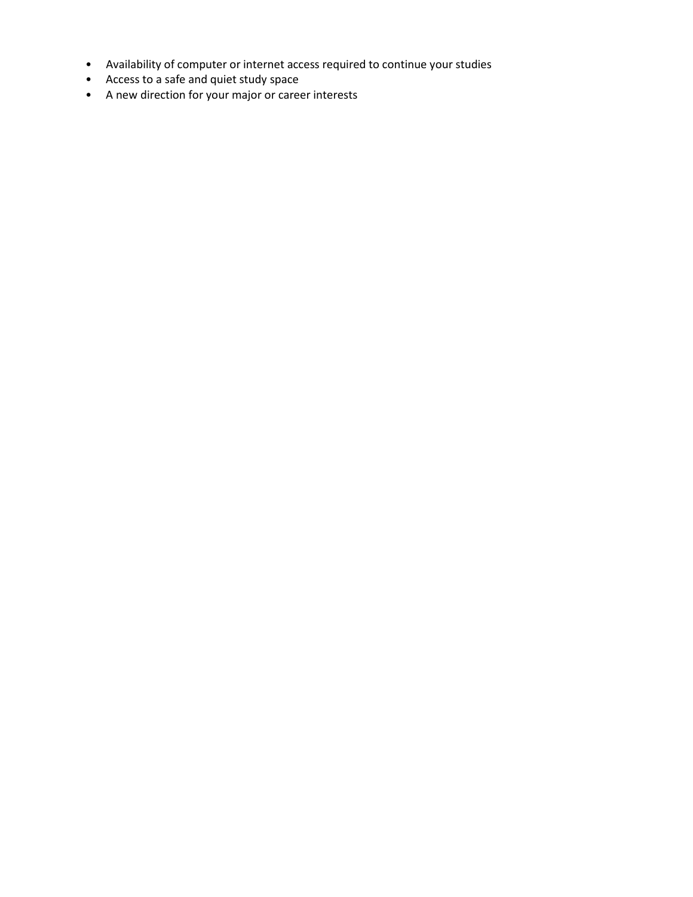- Availability of computer or internet access required to continue your studies
- Access to a safe and quiet study space
- A new direction for your major or career interests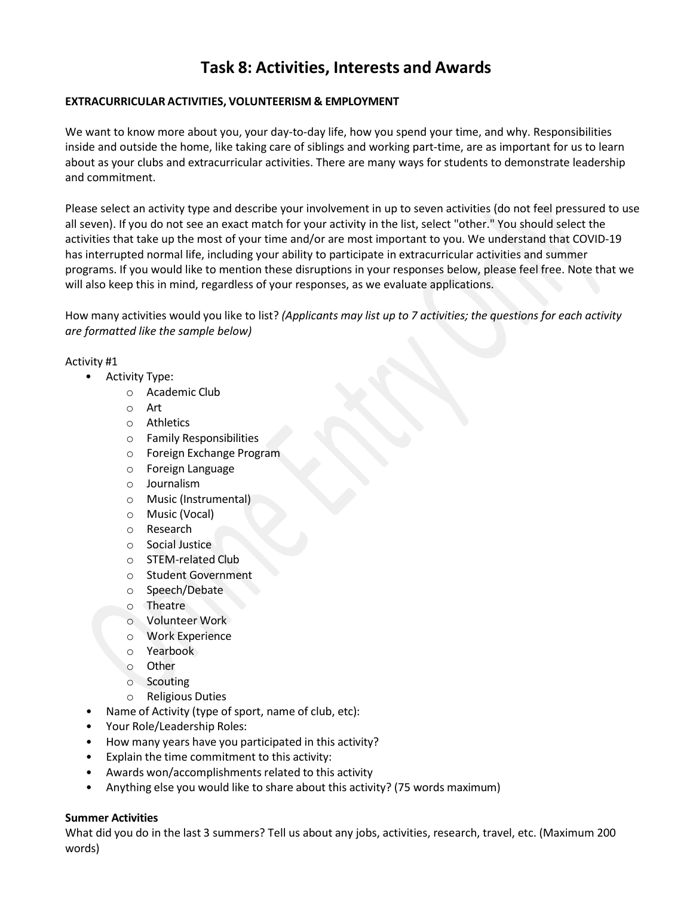### **Task 8: Activities, Interests and Awards**

### **EXTRACURRICULAR ACTIVITIES, VOLUNTEERISM & EMPLOYMENT**

We want to know more about you, your day-to-day life, how you spend your time, and why. Responsibilities inside and outside the home, like taking care of siblings and working part-time, are as important for us to learn about as your clubs and extracurricular activities. There are many ways for students to demonstrate leadership and commitment.

Please select an activity type and describe your involvement in up to seven activities (do not feel pressured to use all seven). If you do not see an exact match for your activity in the list, select "other." You should select the activities that take up the most of your time and/or are most important to you. We understand that COVID-19 has interrupted normal life, including your ability to participate in extracurricular activities and summer programs. If you would like to mention these disruptions in your responses below, please feel free. Note that we will also keep this in mind, regardless of your responses, as we evaluate applications.

How many activities would you like to list? *(Applicants may list up to 7 activities; the questions for each activity are formatted like the sample below)*

### Activity #1

- Activity Type:
	- o Academic Club
	- o Art
	- o Athletics
	- o Family Responsibilities
	- o Foreign Exchange Program
	- o Foreign Language
	- o Journalism
	- o Music (Instrumental)
	- o Music (Vocal)
	- o Research
	- o Social Justice
	- o STEM-related Club
	- o Student Government
	- o Speech/Debate
	- o Theatre
	- o Volunteer Work
	- o Work Experience
	- o Yearbook
	- o Other
	- o Scouting
	- o Religious Duties
- Name of Activity (type of sport, name of club, etc):
- Your Role/Leadership Roles:
- How many years have you participated in this activity?
- Explain the time commitment to this activity:
- Awards won/accomplishments related to this activity
- Anything else you would like to share about this activity? (75 words maximum)

### **Summer Activities**

What did you do in the last 3 summers? Tell us about any jobs, activities, research, travel, etc. (Maximum 200 words)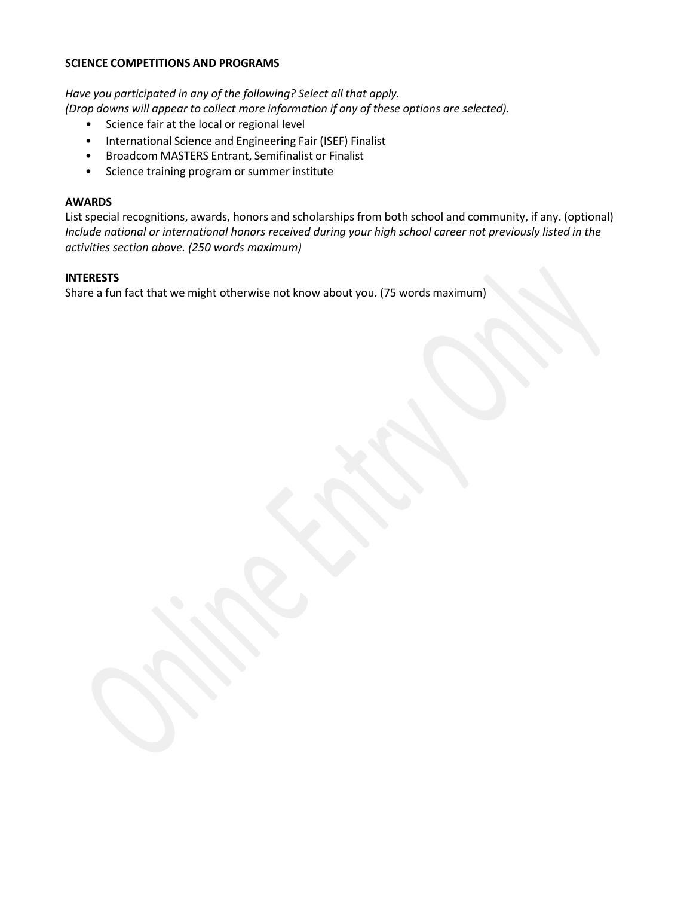### **SCIENCE COMPETITIONS AND PROGRAMS**

*Have you participated in any of the following? Select all that apply.*

- *(Drop downs will appear to collect more information if any of these options are selected).*
	- Science fair at the local or regional level
	- International Science and Engineering Fair (ISEF) Finalist
	- Broadcom MASTERS Entrant, Semifinalist or Finalist
	- Science training program or summer institute

#### **AWARDS**

List special recognitions, awards, honors and scholarships from both school and community, if any. (optional) *Include national or international honors received during your high school career not previously listed in the activities section above. (250 words maximum)*

#### **INTERESTS**

Share a fun fact that we might otherwise not know about you. (75 words maximum)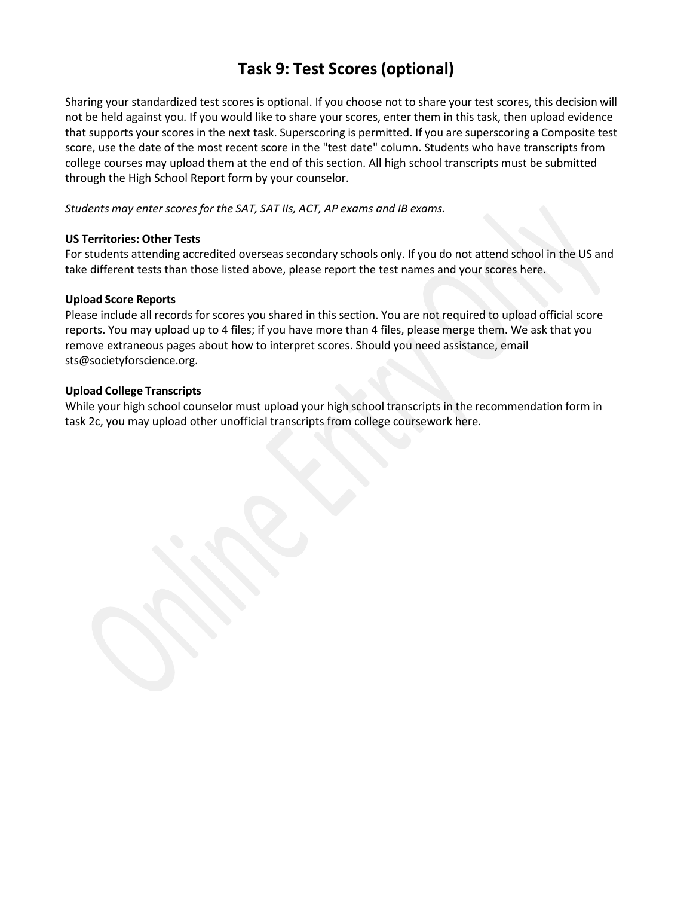## **Task 9: Test Scores (optional)**

Sharing your standardized test scores is optional. If you choose not to share your test scores, this decision will not be held against you. If you would like to share your scores, enter them in this task, then upload evidence that supports your scores in the next task. Superscoring is permitted. If you are superscoring a Composite test score, use the date of the most recent score in the "test date" column. Students who have transcripts from college courses may upload them at the end of this section. All high school transcripts must be submitted through the High School Report form by your counselor.

*Students may enter scores for the SAT, SAT IIs, ACT, AP exams and IB exams.*

#### **US Territories: Other Tests**

For students attending accredited overseas secondary schools only. If you do not attend school in the US and take different tests than those listed above, please report the test names and your scores here.

#### **Upload Score Reports**

Please include all records for scores you shared in this section. You are not required to upload official score reports. You may upload up to 4 files; if you have more than 4 files, please merge them. We ask that you remove extraneous pages about how to interpret scores. Should you need assistance, email [sts@societyforscience.org.](mailto:sts@societyforscience.org)

#### **Upload College Transcripts**

While your high school counselor must upload your high school transcripts in the recommendation form in task 2c, you may upload other unofficial transcripts from college coursework here.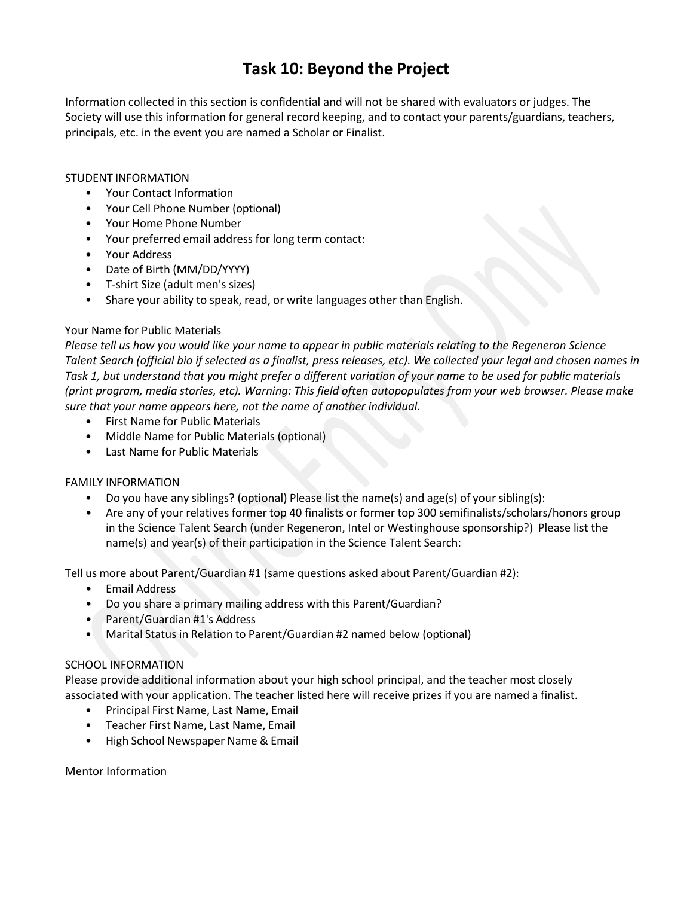### **Task 10: Beyond the Project**

Information collected in this section is confidential and will not be shared with evaluators or judges. The Society will use this information for general record keeping, and to contact your parents/guardians, teachers, principals, etc. in the event you are named a Scholar or Finalist.

### STUDENT INFORMATION

- Your Contact Information
- Your Cell Phone Number (optional)
- Your Home Phone Number
- Your preferred email address for long term contact:
- Your Address
- Date of Birth (MM/DD/YYYY)
- T-shirt Size (adult men's sizes)
- Share your ability to speak, read, or write languages other than English.

### Your Name for Public Materials

*Please tell us how you would like your name to appear in public materials relating to the Regeneron Science Talent Search (official bio if selected as a finalist, press releases, etc). We collected your legal and chosen names in Task 1, but understand that you might prefer a different variation of your name to be used for public materials (print program, media stories, etc). Warning: This field often autopopulates from your web browser. Please make sure that your name appears here, not the name of another individual.*

- First Name for Public Materials
- Middle Name for Public Materials (optional)
- Last Name for Public Materials

### FAMILY INFORMATION

- Do you have any siblings? (optional) Please list the name(s) and age(s) of your sibling(s):
- Are any of your relatives former top 40 finalists or former top 300 semifinalists/scholars/honors group in the Science Talent Search (under Regeneron, Intel or Westinghouse sponsorship?) Please list the name(s) and year(s) of their participation in the Science Talent Search:

Tell us more about Parent/Guardian #1 (same questions asked about Parent/Guardian #2):

- Email Address
- Do you share a primary mailing address with this Parent/Guardian?
- Parent/Guardian #1's Address
- Marital Status in Relation to Parent/Guardian #2 named below (optional)

### SCHOOL INFORMATION

Please provide additional information about your high school principal, and the teacher most closely associated with your application. The teacher listed here will receive prizes if you are named a finalist.

- Principal First Name, Last Name, Email
- Teacher First Name, Last Name, Email
- High School Newspaper Name & Email

Mentor Information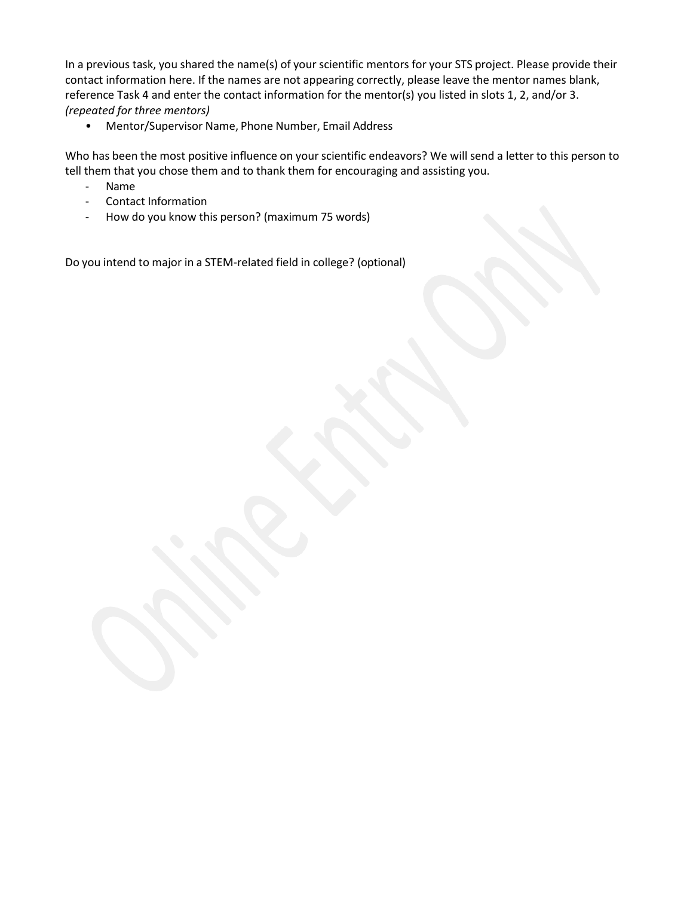In a previous task, you shared the name(s) of your scientific mentors for your STS project. Please provide their contact information here. If the names are not appearing correctly, please leave the mentor names blank, reference Task 4 and enter the contact information for the mentor(s) you listed in slots 1, 2, and/or 3. *(repeated for three mentors)*

• Mentor/Supervisor Name, Phone Number, Email Address

Who has been the most positive influence on your scientific endeavors? We will send a letter to this person to tell them that you chose them and to thank them for encouraging and assisting you.

- Name
- Contact Information
- How do you know this person? (maximum 75 words)

Do you intend to major in a STEM-related field in college? (optional)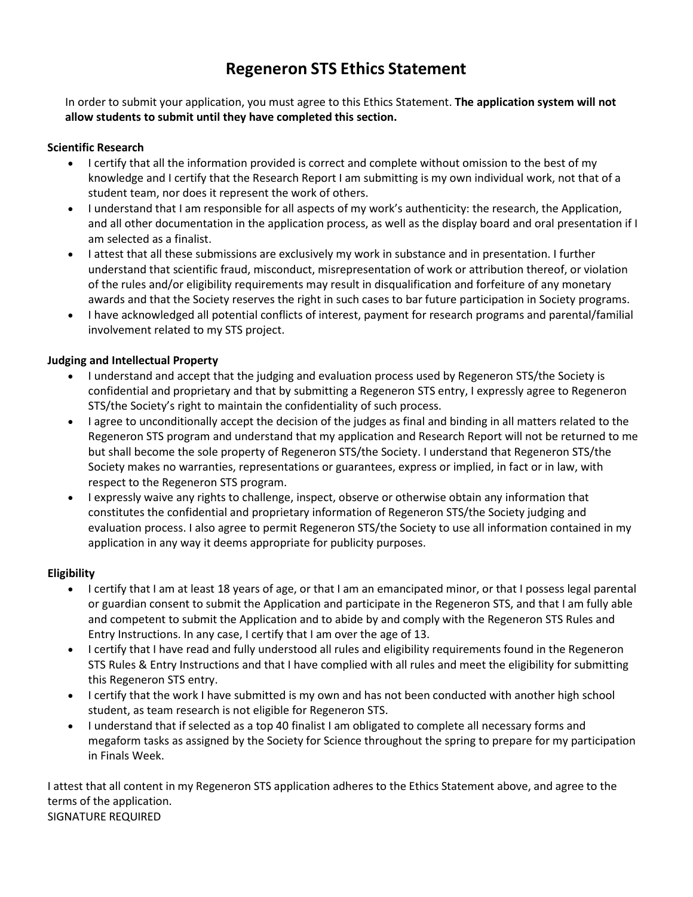### **Regeneron STS Ethics Statement**

In order to submit your application, you must agree to this Ethics Statement. **The application system will not allow students to submit until they have completed this section.**

### **Scientific Research**

- I certify that all the information provided is correct and complete without omission to the best of my knowledge and I certify that the Research Report I am submitting is my own individual work, not that of a student team, nor does it represent the work of others.
- I understand that I am responsible for all aspects of my work's authenticity: the research, the Application, and all other documentation in the application process, as well as the display board and oral presentation if I am selected as a finalist.
- I attest that all these submissions are exclusively my work in substance and in presentation. I further understand that scientific fraud, misconduct, misrepresentation of work or attribution thereof, or violation of the rules and/or eligibility requirements may result in disqualification and forfeiture of any monetary awards and that the Society reserves the right in such cases to bar future participation in Society programs.
- I have acknowledged all potential conflicts of interest, payment for research programs and parental/familial involvement related to my STS project.

### **Judging and Intellectual Property**

- I understand and accept that the judging and evaluation process used by Regeneron STS/the Society is confidential and proprietary and that by submitting a Regeneron STS entry, I expressly agree to Regeneron STS/the Society's right to maintain the confidentiality of such process.
- I agree to unconditionally accept the decision of the judges as final and binding in all matters related to the Regeneron STS program and understand that my application and Research Report will not be returned to me but shall become the sole property of Regeneron STS/the Society. I understand that Regeneron STS/the Society makes no warranties, representations or guarantees, express or implied, in fact or in law, with respect to the Regeneron STS program.
- I expressly waive any rights to challenge, inspect, observe or otherwise obtain any information that constitutes the confidential and proprietary information of Regeneron STS/the Society judging and evaluation process. I also agree to permit Regeneron STS/the Society to use all information contained in my application in any way it deems appropriate for publicity purposes.

### **Eligibility**

- I certify that I am at least 18 years of age, or that I am an emancipated minor, or that I possess legal parental or guardian consent to submit the Application and participate in the Regeneron STS, and that I am fully able and competent to submit the Application and to abide by and comply with the Regeneron STS Rules and Entry Instructions. In any case, I certify that I am over the age of 13.
- I certify that I have read and fully understood all rules and eligibility requirements found in the Regeneron STS Rules & Entry Instructions and that I have complied with all rules and meet the eligibility for submitting this Regeneron STS entry.
- I certify that the work I have submitted is my own and has not been conducted with another high school student, as team research is not eligible for Regeneron STS.
- I understand that if selected as a top 40 finalist I am obligated to complete all necessary forms and megaform tasks as assigned by the Society for Science throughout the spring to prepare for my participation in Finals Week.

I attest that all content in my Regeneron STS application adheres to the Ethics Statement above, and agree to the terms of the application. SIGNATURE REQUIRED